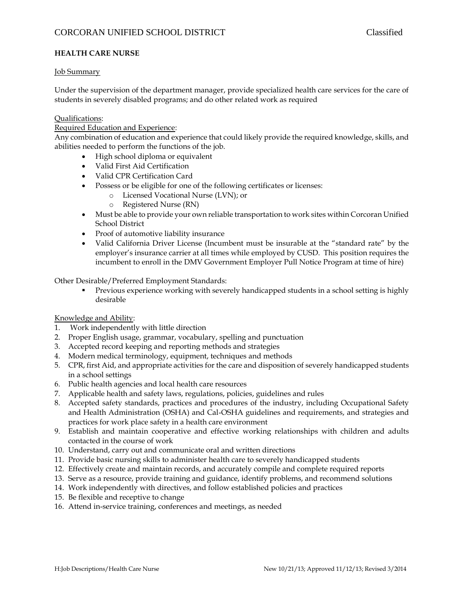## **HEALTH CARE NURSE**

#### Job Summary

Under the supervision of the department manager, provide specialized health care services for the care of students in severely disabled programs; and do other related work as required

#### Qualifications:

#### Required Education and Experience:

Any combination of education and experience that could likely provide the required knowledge, skills, and abilities needed to perform the functions of the job.

- High school diploma or equivalent
- Valid First Aid Certification
- Valid CPR Certification Card
- Possess or be eligible for one of the following certificates or licenses:
	- o Licensed Vocational Nurse (LVN); or
		- o Registered Nurse (RN)
- Must be able to provide your own reliable transportation to work sites within Corcoran Unified School District
- Proof of automotive liability insurance
- Valid California Driver License (Incumbent must be insurable at the "standard rate" by the employer's insurance carrier at all times while employed by CUSD. This position requires the incumbent to enroll in the DMV Government Employer Pull Notice Program at time of hire)

Other Desirable/Preferred Employment Standards:

**Previous experience working with severely handicapped students in a school setting is highly** desirable

#### Knowledge and Ability:

- 1. Work independently with little direction
- 2. Proper English usage, grammar, vocabulary, spelling and punctuation
- 3. Accepted record keeping and reporting methods and strategies
- 4. Modern medical terminology, equipment, techniques and methods
- 5. CPR, first Aid, and appropriate activities for the care and disposition of severely handicapped students in a school settings
- 6. Public health agencies and local health care resources
- 7. Applicable health and safety laws, regulations, policies, guidelines and rules
- 8. Accepted safety standards, practices and procedures of the industry, including Occupational Safety and Health Administration (OSHA) and Cal-OSHA guidelines and requirements, and strategies and practices for work place safety in a health care environment
- 9. Establish and maintain cooperative and effective working relationships with children and adults contacted in the course of work
- 10. Understand, carry out and communicate oral and written directions
- 11. Provide basic nursing skills to administer health care to severely handicapped students
- 12. Effectively create and maintain records, and accurately compile and complete required reports
- 13. Serve as a resource, provide training and guidance, identify problems, and recommend solutions
- 14. Work independently with directives, and follow established policies and practices
- 15. Be flexible and receptive to change
- 16. Attend in-service training, conferences and meetings, as needed